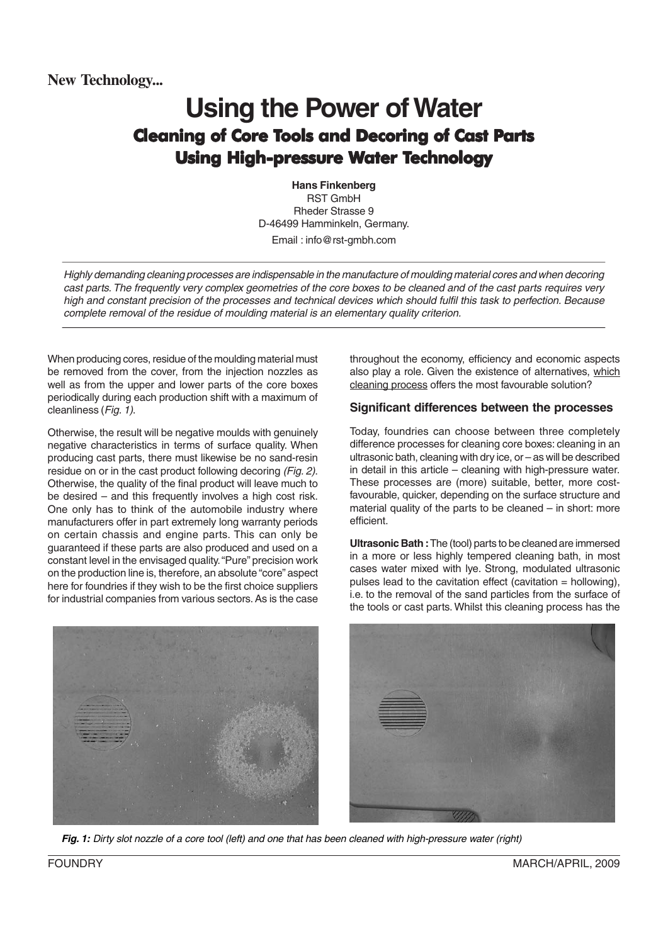# **Using the Power of Water** Cleaning of Core Tools and Decoring of Cast Parts Using High-pressure Water Technology

**Hans Finkenberg** RST GmbH Rheder Strasse 9 D-46499 Hamminkeln, Germany. Email : info@rst-gmbh.com

Highly demanding cleaning processes are indispensable in the manufacture of moulding material cores and when decoring cast parts. The frequently very complex geometries of the core boxes to be cleaned and of the cast parts requires very high and constant precision of the processes and technical devices which should fulfil this task to perfection. Because complete removal of the residue of moulding material is an elementary quality criterion.

When producing cores, residue of the moulding material must be removed from the cover, from the injection nozzles as well as from the upper and lower parts of the core boxes periodically during each production shift with a maximum of cleanliness (Fig. 1).

Otherwise, the result will be negative moulds with genuinely negative characteristics in terms of surface quality. When producing cast parts, there must likewise be no sand-resin residue on or in the cast product following decoring (Fig. 2). Otherwise, the quality of the final product will leave much to be desired – and this frequently involves a high cost risk. One only has to think of the automobile industry where manufacturers offer in part extremely long warranty periods on certain chassis and engine parts. This can only be guaranteed if these parts are also produced and used on a constant level in the envisaged quality. "Pure" precision work on the production line is, therefore, an absolute "core" aspect here for foundries if they wish to be the first choice suppliers for industrial companies from various sectors. As is the case throughout the economy, efficiency and economic aspects also play a role. Given the existence of alternatives, which cleaning process offers the most favourable solution?

## **Significant differences between the processes**

Today, foundries can choose between three completely difference processes for cleaning core boxes: cleaning in an ultrasonic bath, cleaning with dry ice, or – as will be described in detail in this article – cleaning with high-pressure water. These processes are (more) suitable, better, more costfavourable, quicker, depending on the surface structure and material quality of the parts to be cleaned – in short: more efficient.

**Ultrasonic Bath :** The (tool) parts to be cleaned are immersed in a more or less highly tempered cleaning bath, in most cases water mixed with lye. Strong, modulated ultrasonic pulses lead to the cavitation effect (cavitation  $=$  hollowing), i.e. to the removal of the sand particles from the surface of the tools or cast parts. Whilst this cleaning process has the





**Fig. 1:** Dirty slot nozzle of a core tool (left) and one that has been cleaned with high-pressure water (right)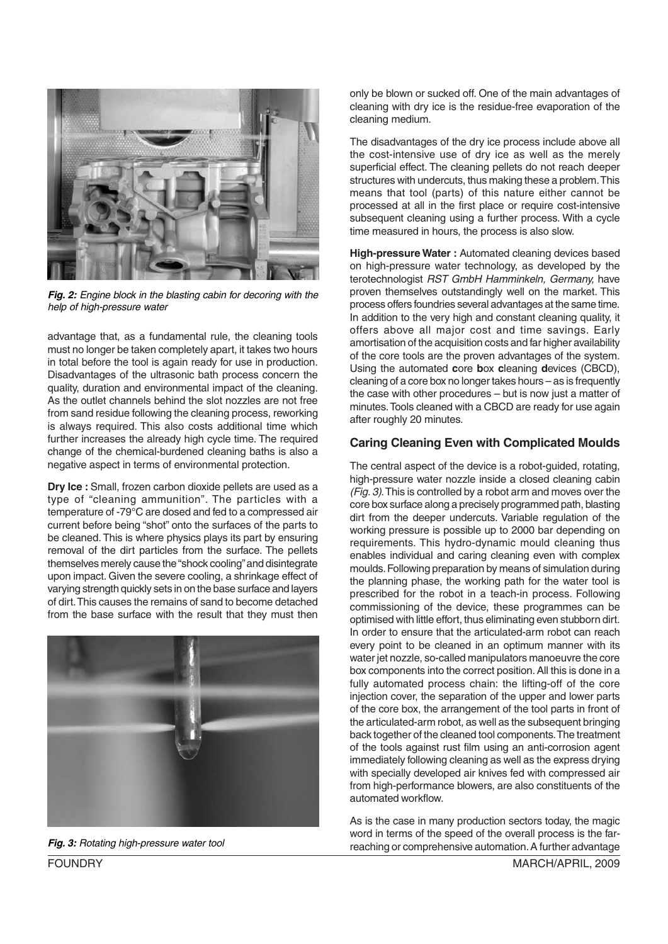

**Fig. 2:** Engine block in the blasting cabin for decoring with the help of high-pressure water

advantage that, as a fundamental rule, the cleaning tools must no longer be taken completely apart, it takes two hours in total before the tool is again ready for use in production. Disadvantages of the ultrasonic bath process concern the quality, duration and environmental impact of the cleaning. As the outlet channels behind the slot nozzles are not free from sand residue following the cleaning process, reworking is always required. This also costs additional time which further increases the already high cycle time. The required change of the chemical-burdened cleaning baths is also a negative aspect in terms of environmental protection.

**Dry Ice :** Small, frozen carbon dioxide pellets are used as a type of "cleaning ammunition". The particles with a temperature of -79°C are dosed and fed to a compressed air current before being "shot" onto the surfaces of the parts to be cleaned. This is where physics plays its part by ensuring removal of the dirt particles from the surface. The pellets themselves merely cause the "shock cooling" and disintegrate upon impact. Given the severe cooling, a shrinkage effect of varying strength quickly sets in on the base surface and layers of dirt. This causes the remains of sand to become detached from the base surface with the result that they must then



only be blown or sucked off. One of the main advantages of cleaning with dry ice is the residue-free evaporation of the cleaning medium.

The disadvantages of the dry ice process include above all the cost-intensive use of dry ice as well as the merely superficial effect. The cleaning pellets do not reach deeper structures with undercuts, thus making these a problem. This means that tool (parts) of this nature either cannot be processed at all in the first place or require cost-intensive subsequent cleaning using a further process. With a cycle time measured in hours, the process is also slow.

**High-pressure Water :** Automated cleaning devices based on high-pressure water technology, as developed by the terotechnologist RST GmbH Hamminkeln, Germany, have proven themselves outstandingly well on the market. This process offers foundries several advantages at the same time. In addition to the very high and constant cleaning quality, it offers above all major cost and time savings. Early amortisation of the acquisition costs and far higher availability of the core tools are the proven advantages of the system. Using the automated **c**ore **b**ox **c**leaning **d**evices (CBCD), cleaning of a core box no longer takes hours – as is frequently the case with other procedures – but is now just a matter of minutes. Tools cleaned with a CBCD are ready for use again after roughly 20 minutes.

#### **Caring Cleaning Even with Complicated Moulds**

The central aspect of the device is a robot-guided, rotating, high-pressure water nozzle inside a closed cleaning cabin (Fig. 3). This is controlled by a robot arm and moves over the core box surface along a precisely programmed path, blasting dirt from the deeper undercuts. Variable regulation of the working pressure is possible up to 2000 bar depending on requirements. This hydro-dynamic mould cleaning thus enables individual and caring cleaning even with complex moulds. Following preparation by means of simulation during the planning phase, the working path for the water tool is prescribed for the robot in a teach-in process. Following commissioning of the device, these programmes can be optimised with little effort, thus eliminating even stubborn dirt. In order to ensure that the articulated-arm robot can reach every point to be cleaned in an optimum manner with its water jet nozzle, so-called manipulators manoeuvre the core box components into the correct position. All this is done in a fully automated process chain: the lifting-off of the core injection cover, the separation of the upper and lower parts of the core box, the arrangement of the tool parts in front of the articulated-arm robot, as well as the subsequent bringing back together of the cleaned tool components. The treatment of the tools against rust film using an anti-corrosion agent immediately following cleaning as well as the express drying with specially developed air knives fed with compressed air from high-performance blowers, are also constituents of the automated workflow.

As is the case in many production sectors today, the magic word in terms of the speed of the overall process is the far-**Fig. 3:** Rotating high-pressure water tool **Fig. 3: Fig. 3:** Rotating high-pressure water tool **Fig. 3: Fig. 3: Fig. 3: Fig. 3: Fig. 3: Fig. 3: Fig. 3: Fig. 3: Fig. 3: Fig. 3: Fig. 3: Fig. 3: Fig**